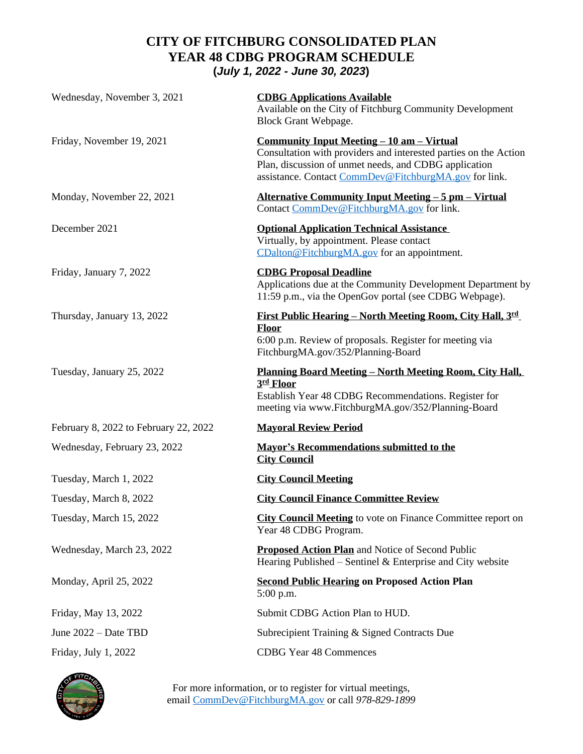# **CITY OF FITCHBURG CONSOLIDATED PLAN YEAR 48 CDBG PROGRAM SCHEDULE (***July 1, 2022 - June 30, 2023***)**

| Wednesday, November 3, 2021           | <b>CDBG Applications Available</b><br>Available on the City of Fitchburg Community Development<br>Block Grant Webpage.                                                                                                                 |
|---------------------------------------|----------------------------------------------------------------------------------------------------------------------------------------------------------------------------------------------------------------------------------------|
| Friday, November 19, 2021             | <u>Community Input Meeting – 10 am – Virtual</u><br>Consultation with providers and interested parties on the Action<br>Plan, discussion of unmet needs, and CDBG application<br>assistance. Contact CommDev@FitchburgMA.gov for link. |
| Monday, November 22, 2021             | <u> Alternative Community Input Meeting – 5 pm – Virtual</u><br>Contact CommDev@FitchburgMA.gov for link.                                                                                                                              |
| December 2021                         | <b>Optional Application Technical Assistance</b><br>Virtually, by appointment. Please contact<br>CDalton@FitchburgMA.gov for an appointment.                                                                                           |
| Friday, January 7, 2022               | <b>CDBG Proposal Deadline</b><br>Applications due at the Community Development Department by<br>11:59 p.m., via the OpenGov portal (see CDBG Webpage).                                                                                 |
| Thursday, January 13, 2022            | First Public Hearing - North Meeting Room, City Hall, 3rd<br><b>Floor</b><br>6:00 p.m. Review of proposals. Register for meeting via<br>FitchburgMA.gov/352/Planning-Board                                                             |
| Tuesday, January 25, 2022             | <u> Planning Board Meeting – North Meeting Room, City Hall,</u><br>3rd Floor<br>Establish Year 48 CDBG Recommendations. Register for<br>meeting via www.FitchburgMA.gov/352/Planning-Board                                             |
| February 8, 2022 to February 22, 2022 | <b>Mayoral Review Period</b>                                                                                                                                                                                                           |
| Wednesday, February 23, 2022          | <b>Mayor's Recommendations submitted to the</b><br><b>City Council</b>                                                                                                                                                                 |
| Tuesday, March 1, 2022                | <b>City Council Meeting</b>                                                                                                                                                                                                            |
| Tuesday, March 8, 2022                | <b>City Council Finance Committee Review</b>                                                                                                                                                                                           |
| Tuesday, March 15, 2022               | <b>City Council Meeting</b> to vote on Finance Committee report on<br>Year 48 CDBG Program.                                                                                                                                            |
| Wednesday, March 23, 2022             | <b>Proposed Action Plan</b> and Notice of Second Public<br>Hearing Published – Sentinel & Enterprise and City website                                                                                                                  |
| Monday, April 25, 2022                | <b>Second Public Hearing on Proposed Action Plan</b><br>$5:00$ p.m.                                                                                                                                                                    |
| Friday, May 13, 2022                  | Submit CDBG Action Plan to HUD.                                                                                                                                                                                                        |
| June 2022 - Date TBD                  | Subrecipient Training & Signed Contracts Due                                                                                                                                                                                           |
| Friday, July 1, 2022                  | <b>CDBG</b> Year 48 Commences                                                                                                                                                                                                          |



For more information, or to register for virtual meetings, email [CommDev@FitchburgMA.gov](mailto:CommDev@FitchburgMA.gov) or call *978-829-1899*